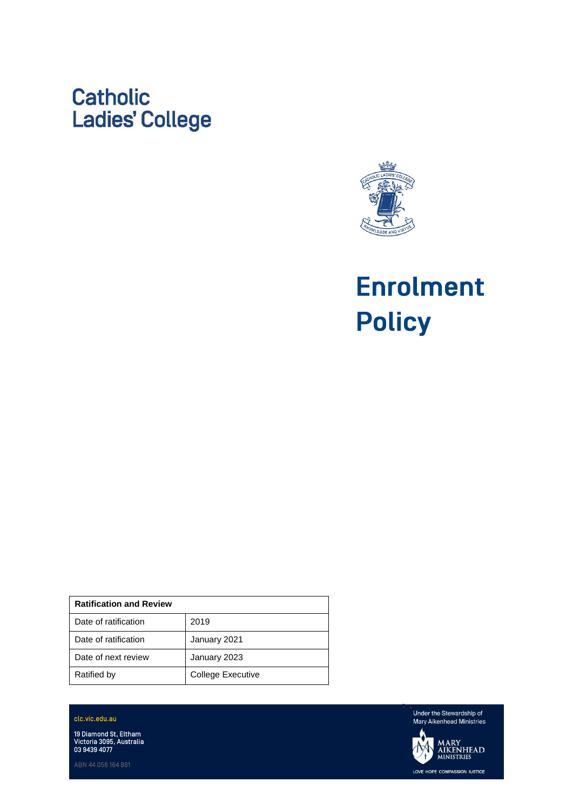# **Catholic Ladies' College**



**Enrolment Policy** 

| <b>Ratification and Review</b> |                   |
|--------------------------------|-------------------|
| Date of ratification           | 2019              |
| Date of ratification           | January 2021      |
| Date of next review            | January 2023      |
| Ratified by                    | College Executive |

clc.vic.edu.au

19 Diamond St, Eltham<br>Victoria 3095, Australia<br>03 9439 4077

Under the Stewardship of Mary Aikenhead Ministries

**MARY<br>AIKENHEAD<br>ministries** LOVE HOPE COMPASSION JUSTICE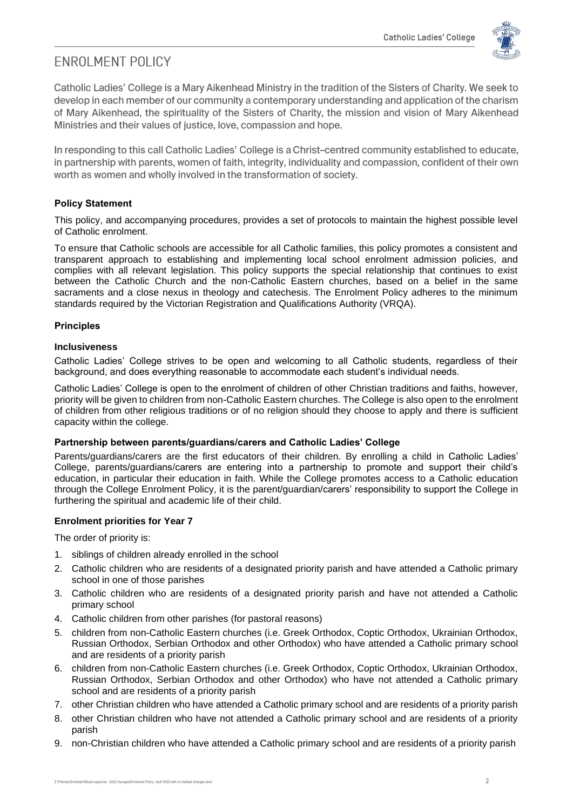

# **FNROI MENT POLICY**

Catholic Ladies' College is a Mary Aikenhead Ministry in the tradition of the Sisters of Charity. We seek to develop in each member of our community a contemporary understanding and application of the charism of Mary Aikenhead, the spirituality of the Sisters of Charity, the mission and vision of Mary Aikenhead Ministries and their values of justice, love, compassion and hope.

In responding to this call Catholic Ladies' College is a Christ-centred community established to educate, in partnership with parents, women of faith, integrity, individuality and compassion, confident of their own worth as women and wholly involved in the transformation of society.

# **Policy Statement**

This policy, and accompanying procedures, provides a set of protocols to maintain the highest possible level of Catholic enrolment.

To ensure that Catholic schools are accessible for all Catholic families, this policy promotes a consistent and transparent approach to establishing and implementing local school enrolment admission policies, and complies with all relevant legislation. This policy supports the special relationship that continues to exist between the Catholic Church and the non-Catholic Eastern churches, based on a belief in the same sacraments and a close nexus in theology and catechesis. The Enrolment Policy adheres to the minimum standards required by the Victorian Registration and Qualifications Authority (VRQA).

# **Principles**

# **Inclusiveness**

Catholic Ladies' College strives to be open and welcoming to all Catholic students, regardless of their background, and does everything reasonable to accommodate each student's individual needs.

Catholic Ladies' College is open to the enrolment of children of other Christian traditions and faiths, however, priority will be given to children from non-Catholic Eastern churches. The College is also open to the enrolment of children from other religious traditions or of no religion should they choose to apply and there is sufficient capacity within the college.

# **Partnership between parents/guardians/carers and Catholic Ladies' College**

Parents/guardians/carers are the first educators of their children. By enrolling a child in Catholic Ladies' College, parents/guardians/carers are entering into a partnership to promote and support their child's education, in particular their education in faith. While the College promotes access to a Catholic education through the College Enrolment Policy, it is the parent/guardian/carers' responsibility to support the College in furthering the spiritual and academic life of their child.

# **Enrolment priorities for Year 7**

The order of priority is:

- 1. siblings of children already enrolled in the school
- 2. Catholic children who are residents of a designated priority parish and have attended a Catholic primary school in one of those parishes
- 3. Catholic children who are residents of a designated priority parish and have not attended a Catholic primary school
- 4. Catholic children from other parishes (for pastoral reasons)
- 5. children from non-Catholic Eastern churches (i.e. Greek Orthodox, Coptic Orthodox, Ukrainian Orthodox, Russian Orthodox, Serbian Orthodox and other Orthodox) who have attended a Catholic primary school and are residents of a priority parish
- 6. children from non-Catholic Eastern churches (i.e. Greek Orthodox, Coptic Orthodox, Ukrainian Orthodox, Russian Orthodox, Serbian Orthodox and other Orthodox) who have not attended a Catholic primary school and are residents of a priority parish
- 7. other Christian children who have attended a Catholic primary school and are residents of a priority parish
- 8. other Christian children who have not attended a Catholic primary school and are residents of a priority parish
- 9. non-Christian children who have attended a Catholic primary school and are residents of a priority parish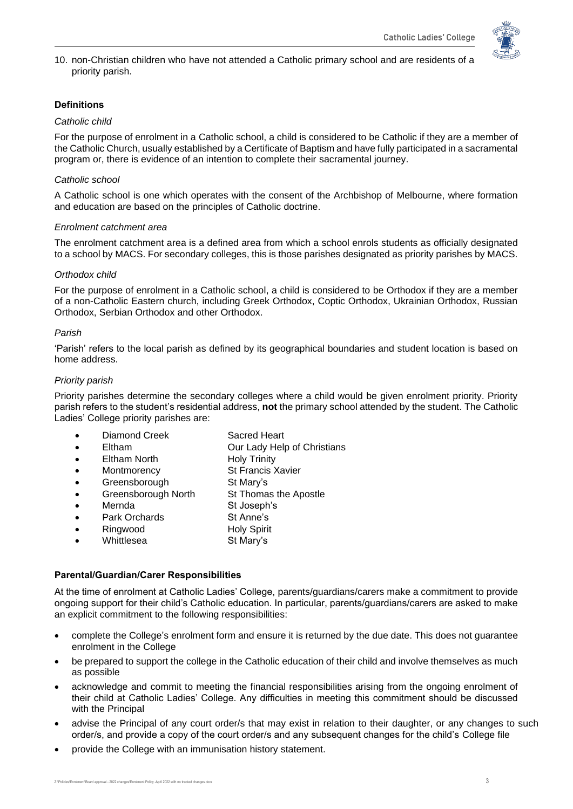

10. non-Christian children who have not attended a Catholic primary school and are residents of a priority parish.

# **Definitions**

#### *Catholic child*

For the purpose of enrolment in a Catholic school, a child is considered to be Catholic if they are a member of the Catholic Church, usually established by a Certificate of Baptism and have fully participated in a sacramental program or, there is evidence of an intention to complete their sacramental journey.

# *Catholic school*

A Catholic school is one which operates with the consent of the Archbishop of Melbourne, where formation and education are based on the principles of Catholic doctrine.

#### *Enrolment catchment area*

The enrolment catchment area is a defined area from which a school enrols students as officially designated to a school by MACS. For secondary colleges, this is those parishes designated as priority parishes by MACS.

# *Orthodox child*

For the purpose of enrolment in a Catholic school, a child is considered to be Orthodox if they are a member of a non-Catholic Eastern church, including Greek Orthodox, Coptic Orthodox, Ukrainian Orthodox, Russian Orthodox, Serbian Orthodox and other Orthodox.

# *Parish*

'Parish' refers to the local parish as defined by its geographical boundaries and student location is based on home address.

# *Priority parish*

Priority parishes determine the secondary colleges where a child would be given enrolment priority. Priority parish refers to the student's residential address, **not** the primary school attended by the student. The Catholic Ladies' College priority parishes are:

- Diamond Creek Sacred Heart
- Eltham Our Lady Help of Christians
- **Eltham North Holy Trinity**
- Montmorency St Francis Xavier
	- Greensborough St Mary's
- Greensborough North St Thomas the Apostle
- Mernda St Joseph's
	- Park Orchards **St Anne's**
- **Ringwood Holy Spirit**
- Whittlesea St Mary's

# **Parental/Guardian/Carer Responsibilities**

At the time of enrolment at Catholic Ladies' College, parents/guardians/carers make a commitment to provide ongoing support for their child's Catholic education. In particular, parents/guardians/carers are asked to make an explicit commitment to the following responsibilities:

- complete the College's enrolment form and ensure it is returned by the due date. This does not guarantee enrolment in the College
- be prepared to support the college in the Catholic education of their child and involve themselves as much as possible
- acknowledge and commit to meeting the financial responsibilities arising from the ongoing enrolment of their child at Catholic Ladies' College. Any difficulties in meeting this commitment should be discussed with the Principal
- advise the Principal of any court order/s that may exist in relation to their daughter, or any changes to such order/s, and provide a copy of the court order/s and any subsequent changes for the child's College file
- provide the College with an immunisation history statement.